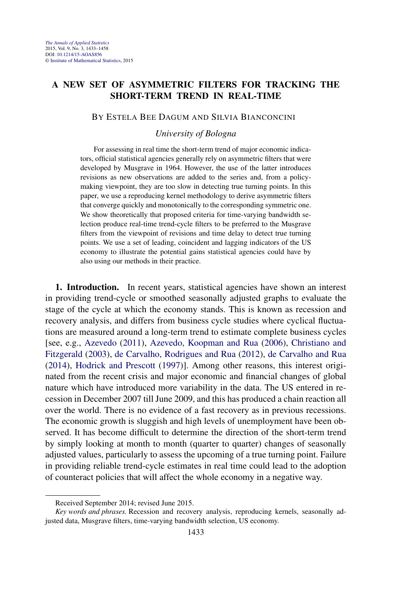# **A NEW SET OF ASYMMETRIC FILTERS FOR TRACKING THE SHORT-TERM TREND IN REAL-TIME**

# BY ESTELA BEE DAGUM AND SILVIA BIANCONCINI

*University of Bologna*

For assessing in real time the short-term trend of major economic indicators, official statistical agencies generally rely on asymmetric filters that were developed by Musgrave in 1964. However, the use of the latter introduces revisions as new observations are added to the series and, from a policymaking viewpoint, they are too slow in detecting true turning points. In this paper, we use a reproducing kernel methodology to derive asymmetric filters that converge quickly and monotonically to the corresponding symmetric one. We show theoretically that proposed criteria for time-varying bandwidth selection produce real-time trend-cycle filters to be preferred to the Musgrave filters from the viewpoint of revisions and time delay to detect true turning points. We use a set of leading, coincident and lagging indicators of the US economy to illustrate the potential gains statistical agencies could have by also using our methods in their practice.

**1. Introduction.** In recent years, statistical agencies have shown an interest in providing trend-cycle or smoothed seasonally adjusted graphs to evaluate the stage of the cycle at which the economy stands. This is known as recession and recovery analysis, and differs from business cycle studies where cyclical fluctuations are measured around a long-term trend to estimate complete business cycles [see, e.g., [Azevedo](#page-23-0) [\(2011\)](#page-23-0), [Azevedo, Koopman and Rua](#page-23-0) [\(2006\)](#page-23-0), [Christiano and](#page-23-0) [Fitzgerald](#page-23-0) [\(2003\)](#page-23-0), [de Carvalho, Rodrigues and Rua](#page-24-0) [\(2012\)](#page-24-0), [de Carvalho and Rua](#page-24-0) [\(2014\)](#page-24-0), [Hodrick and Prescott](#page-24-0) [\(1997\)](#page-24-0)]. Among other reasons, this interest originated from the recent crisis and major economic and financial changes of global nature which have introduced more variability in the data. The US entered in recession in December 2007 till June 2009, and this has produced a chain reaction all over the world. There is no evidence of a fast recovery as in previous recessions. The economic growth is sluggish and high levels of unemployment have been observed. It has become difficult to determine the direction of the short-term trend by simply looking at month to month (quarter to quarter) changes of seasonally adjusted values, particularly to assess the upcoming of a true turning point. Failure in providing reliable trend-cycle estimates in real time could lead to the adoption of counteract policies that will affect the whole economy in a negative way.

Received September 2014; revised June 2015.

*Key words and phrases.* Recession and recovery analysis, reproducing kernels, seasonally adjusted data, Musgrave filters, time-varying bandwidth selection, US economy.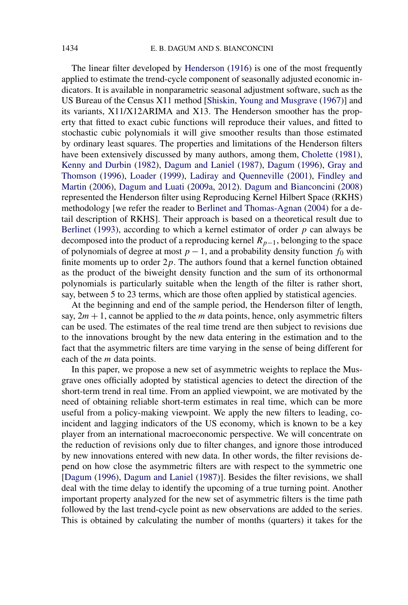The linear filter developed by [Henderson](#page-24-0) [\(1916\)](#page-24-0) is one of the most frequently applied to estimate the trend-cycle component of seasonally adjusted economic indicators. It is available in nonparametric seasonal adjustment software, such as the US Bureau of the Census X11 method [\[Shiskin, Young and Musgrave](#page-25-0) [\(1967\)](#page-25-0)] and its variants, X11/X12ARIMA and X13. The Henderson smoother has the property that fitted to exact cubic functions will reproduce their values, and fitted to stochastic cubic polynomials it will give smoother results than those estimated by ordinary least squares. The properties and limitations of the Henderson filters have been extensively discussed by many authors, among them, [Cholette](#page-23-0) [\(1981\)](#page-23-0), [Kenny and Durbin](#page-24-0) [\(1982\)](#page-24-0), [Dagum and Laniel](#page-24-0) [\(1987\)](#page-24-0), [Dagum](#page-24-0) [\(1996\)](#page-24-0), [Gray and](#page-24-0) [Thomson](#page-24-0) [\(1996\)](#page-24-0), [Loader](#page-24-0) [\(1999\)](#page-24-0), [Ladiray and Quenneville](#page-24-0) [\(2001\)](#page-24-0), [Findley and](#page-24-0) [Martin](#page-24-0) [\(2006\)](#page-24-0), [Dagum and Luati](#page-24-0) [\(2009a,](#page-24-0) [2012\)](#page-24-0). [Dagum and Bianconcini](#page-24-0) [\(2008\)](#page-24-0) represented the Henderson filter using Reproducing Kernel Hilbert Space (RKHS) methodology [we refer the reader to [Berlinet and Thomas-Agnan](#page-23-0) [\(2004\)](#page-23-0) for a detail description of RKHS]. Their approach is based on a theoretical result due to [Berlinet](#page-23-0) [\(1993\)](#page-23-0), according to which a kernel estimator of order *p* can always be decomposed into the product of a reproducing kernel *Rp*−1, belonging to the space of polynomials of degree at most  $p - 1$ , and a probability density function  $f_0$  with finite moments up to order 2*p*. The authors found that a kernel function obtained as the product of the biweight density function and the sum of its orthonormal polynomials is particularly suitable when the length of the filter is rather short, say, between 5 to 23 terms, which are those often applied by statistical agencies.

At the beginning and end of the sample period, the Henderson filter of length, say,  $2m + 1$ , cannot be applied to the *m* data points, hence, only asymmetric filters can be used. The estimates of the real time trend are then subject to revisions due to the innovations brought by the new data entering in the estimation and to the fact that the asymmetric filters are time varying in the sense of being different for each of the *m* data points.

In this paper, we propose a new set of asymmetric weights to replace the Musgrave ones officially adopted by statistical agencies to detect the direction of the short-term trend in real time. From an applied viewpoint, we are motivated by the need of obtaining reliable short-term estimates in real time, which can be more useful from a policy-making viewpoint. We apply the new filters to leading, coincident and lagging indicators of the US economy, which is known to be a key player from an international macroeconomic perspective. We will concentrate on the reduction of revisions only due to filter changes, and ignore those introduced by new innovations entered with new data. In other words, the filter revisions depend on how close the asymmetric filters are with respect to the symmetric one [\[Dagum](#page-24-0) [\(1996\)](#page-24-0), [Dagum and Laniel](#page-24-0) [\(1987\)](#page-24-0)]. Besides the filter revisions, we shall deal with the time delay to identify the upcoming of a true turning point. Another important property analyzed for the new set of asymmetric filters is the time path followed by the last trend-cycle point as new observations are added to the series. This is obtained by calculating the number of months (quarters) it takes for the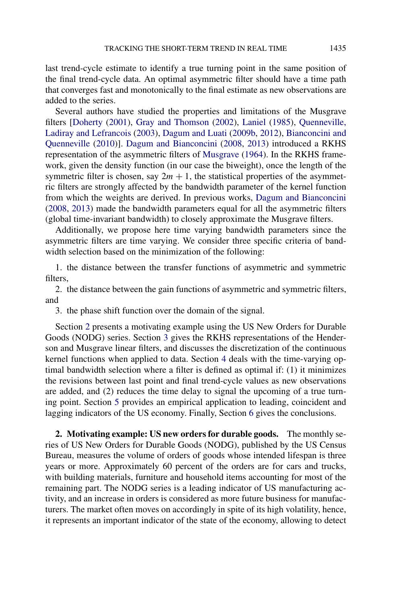last trend-cycle estimate to identify a true turning point in the same position of the final trend-cycle data. An optimal asymmetric filter should have a time path that converges fast and monotonically to the final estimate as new observations are added to the series.

Several authors have studied the properties and limitations of the Musgrave filters [\[Doherty](#page-24-0) [\(2001\)](#page-24-0), [Gray and Thomson](#page-24-0) [\(2002\)](#page-24-0), [Laniel](#page-24-0) [\(1985\)](#page-24-0), [Quenneville,](#page-25-0) [Ladiray and Lefrancois](#page-25-0) [\(2003\)](#page-25-0), [Dagum and Luati](#page-24-0) [\(2009b,](#page-24-0) [2012\)](#page-24-0), [Bianconcini and](#page-23-0) [Quenneville](#page-23-0) [\(2010\)](#page-23-0)]. [Dagum and Bianconcini](#page-24-0) [\(2008,](#page-24-0) [2013\)](#page-24-0) introduced a RKHS representation of the asymmetric filters of [Musgrave](#page-24-0) [\(1964\)](#page-24-0). In the RKHS framework, given the density function (in our case the biweight), once the length of the symmetric filter is chosen, say  $2m + 1$ , the statistical properties of the asymmetric filters are strongly affected by the bandwidth parameter of the kernel function from which the weights are derived. In previous works, [Dagum and Bianconcini](#page-24-0) [\(2008,](#page-24-0) [2013\)](#page-24-0) made the bandwidth parameters equal for all the asymmetric filters (global time-invariant bandwidth) to closely approximate the Musgrave filters.

Additionally, we propose here time varying bandwidth parameters since the asymmetric filters are time varying. We consider three specific criteria of bandwidth selection based on the minimization of the following:

1. the distance between the transfer functions of asymmetric and symmetric filters,

2. the distance between the gain functions of asymmetric and symmetric filters, and

3. the phase shift function over the domain of the signal.

Section 2 presents a motivating example using the US New Orders for Durable Goods (NODG) series. Section [3](#page-5-0) gives the RKHS representations of the Henderson and Musgrave linear filters, and discusses the discretization of the continuous kernel functions when applied to data. Section [4](#page-10-0) deals with the time-varying optimal bandwidth selection where a filter is defined as optimal if: (1) it minimizes the revisions between last point and final trend-cycle values as new observations are added, and (2) reduces the time delay to signal the upcoming of a true turning point. Section [5](#page-15-0) provides an empirical application to leading, coincident and lagging indicators of the US economy. Finally, Section [6](#page-20-0) gives the conclusions.

**2. Motivating example: US new orders for durable goods.** The monthly series of US New Orders for Durable Goods (NODG), published by the US Census Bureau, measures the volume of orders of goods whose intended lifespan is three years or more. Approximately 60 percent of the orders are for cars and trucks, with building materials, furniture and household items accounting for most of the remaining part. The NODG series is a leading indicator of US manufacturing activity, and an increase in orders is considered as more future business for manufacturers. The market often moves on accordingly in spite of its high volatility, hence, it represents an important indicator of the state of the economy, allowing to detect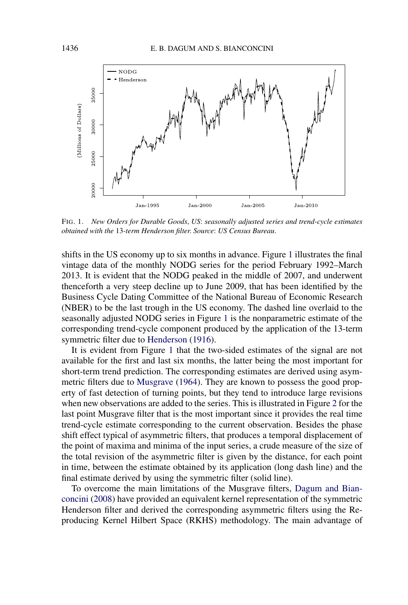

FIG. 1. *New Orders for Durable Goods*, *US*: *seasonally adjusted series and trend-cycle estimates obtained with the* 13*-term Henderson filter*. *Source*: *US Census Bureau*.

shifts in the US economy up to six months in advance. Figure 1 illustrates the final vintage data of the monthly NODG series for the period February 1992–March 2013. It is evident that the NODG peaked in the middle of 2007, and underwent thenceforth a very steep decline up to June 2009, that has been identified by the Business Cycle Dating Committee of the National Bureau of Economic Research (NBER) to be the last trough in the US economy. The dashed line overlaid to the seasonally adjusted NODG series in Figure 1 is the nonparametric estimate of the corresponding trend-cycle component produced by the application of the 13-term symmetric filter due to [Henderson](#page-24-0) [\(1916\)](#page-24-0).

It is evident from Figure 1 that the two-sided estimates of the signal are not available for the first and last six months, the latter being the most important for short-term trend prediction. The corresponding estimates are derived using asymmetric filters due to [Musgrave](#page-24-0) [\(1964\)](#page-24-0). They are known to possess the good property of fast detection of turning points, but they tend to introduce large revisions when new observations are added to the series. This is illustrated in Figure [2](#page-4-0) for the last point Musgrave filter that is the most important since it provides the real time trend-cycle estimate corresponding to the current observation. Besides the phase shift effect typical of asymmetric filters, that produces a temporal displacement of the point of maxima and minima of the input series, a crude measure of the size of the total revision of the asymmetric filter is given by the distance, for each point in time, between the estimate obtained by its application (long dash line) and the final estimate derived by using the symmetric filter (solid line).

To overcome the main limitations of the Musgrave filters, [Dagum and Bian](#page-24-0)[concini](#page-24-0) [\(2008\)](#page-24-0) have provided an equivalent kernel representation of the symmetric Henderson filter and derived the corresponding asymmetric filters using the Reproducing Kernel Hilbert Space (RKHS) methodology. The main advantage of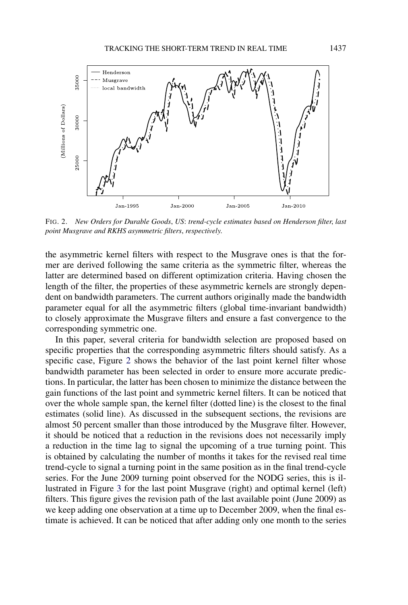<span id="page-4-0"></span>

FIG. 2. *New Orders for Durable Goods*, *US*: *trend-cycle estimates based on Henderson filter*, *last point Musgrave and RKHS asymmetric filters*, *respectively*.

the asymmetric kernel filters with respect to the Musgrave ones is that the former are derived following the same criteria as the symmetric filter, whereas the latter are determined based on different optimization criteria. Having chosen the length of the filter, the properties of these asymmetric kernels are strongly dependent on bandwidth parameters. The current authors originally made the bandwidth parameter equal for all the asymmetric filters (global time-invariant bandwidth) to closely approximate the Musgrave filters and ensure a fast convergence to the corresponding symmetric one.

In this paper, several criteria for bandwidth selection are proposed based on specific properties that the corresponding asymmetric filters should satisfy. As a specific case, Figure 2 shows the behavior of the last point kernel filter whose bandwidth parameter has been selected in order to ensure more accurate predictions. In particular, the latter has been chosen to minimize the distance between the gain functions of the last point and symmetric kernel filters. It can be noticed that over the whole sample span, the kernel filter (dotted line) is the closest to the final estimates (solid line). As discussed in the subsequent sections, the revisions are almost 50 percent smaller than those introduced by the Musgrave filter. However, it should be noticed that a reduction in the revisions does not necessarily imply a reduction in the time lag to signal the upcoming of a true turning point. This is obtained by calculating the number of months it takes for the revised real time trend-cycle to signal a turning point in the same position as in the final trend-cycle series. For the June 2009 turning point observed for the NODG series, this is illustrated in Figure [3](#page-5-0) for the last point Musgrave (right) and optimal kernel (left) filters. This figure gives the revision path of the last available point (June 2009) as we keep adding one observation at a time up to December 2009, when the final estimate is achieved. It can be noticed that after adding only one month to the series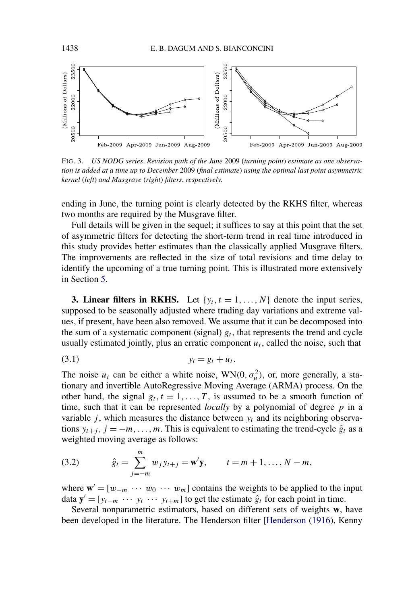<span id="page-5-0"></span>

FIG. 3. *US NODG series*. *Revision path of the June* 2009 (*turning point*) *estimate as one observation is added at a time up to December* 2009 (*final estimate*) *using the optimal last point asymmetric kernel* (*left*) *and Musgrave* (*right*) *filters*, *respectively*.

ending in June, the turning point is clearly detected by the RKHS filter, whereas two months are required by the Musgrave filter.

Full details will be given in the sequel; it suffices to say at this point that the set of asymmetric filters for detecting the short-term trend in real time introduced in this study provides better estimates than the classically applied Musgrave filters. The improvements are reflected in the size of total revisions and time delay to identify the upcoming of a true turning point. This is illustrated more extensively in Section [5.](#page-15-0)

**3. Linear filters in RKHS.** Let  $\{y_t, t = 1, ..., N\}$  denote the input series, supposed to be seasonally adjusted where trading day variations and extreme values, if present, have been also removed. We assume that it can be decomposed into the sum of a systematic component (signal)  $g_t$ , that represents the trend and cycle usually estimated jointly, plus an erratic component  $u_t$ , called the noise, such that

$$
(3.1) \t\t\t y_t = g_t + u_t.
$$

The noise  $u_t$  can be either a white noise,  $WN(0, \sigma_u^2)$ , or, more generally, a stationary and invertible AutoRegressive Moving Average (ARMA) process. On the other hand, the signal  $g_t$ ,  $t = 1, \ldots, T$ , is assumed to be a smooth function of time, such that it can be represented *locally* by a polynomial of degree *p* in a variable  $j$ , which measures the distance between  $y_t$  and its neighboring observations  $y_{t+j}$ ,  $j = -m, \ldots, m$ . This is equivalent to estimating the trend-cycle  $\hat{g}_t$  as a weighted moving average as follows:

(3.2) 
$$
\hat{g}_t = \sum_{j=-m}^{m} w_j y_{t+j} = \mathbf{w}' \mathbf{y}, \qquad t = m+1, ..., N-m,
$$

where  $\mathbf{w}' = [w_{-m} \cdots w_0 \cdots w_m]$  contains the weights to be applied to the input data  $\mathbf{y}' = [y_{t-m} \cdots y_t \cdots y_{t+m}]$  to get the estimate  $\hat{g}_t$  for each point in time.

Several nonparametric estimators, based on different sets of weights **w**, have been developed in the literature. The Henderson filter [\[Henderson](#page-24-0) [\(1916\)](#page-24-0), Kenny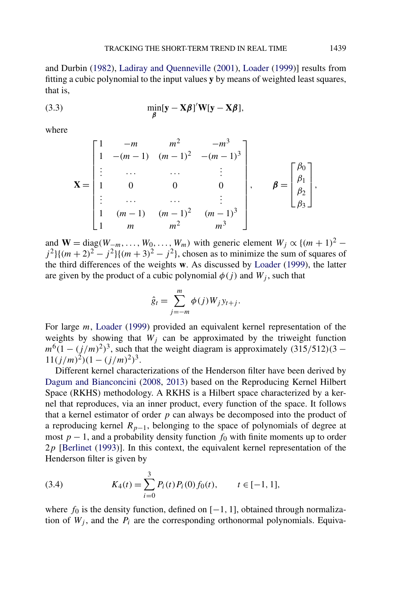<span id="page-6-0"></span>and Durbin [\(1982\)](#page-24-0), [Ladiray and Quenneville](#page-24-0) [\(2001\)](#page-24-0), [Loader](#page-24-0) [\(1999\)](#page-24-0)] results from fitting a cubic polynomial to the input values **y** by means of weighted least squares, that is,

(3.3) 
$$
\min_{\beta} [\mathbf{y} - \mathbf{X}\boldsymbol{\beta}]'\mathbf{W}[\mathbf{y} - \mathbf{X}\boldsymbol{\beta}],
$$

where

$$
\mathbf{X} = \begin{bmatrix} 1 & -m & m^2 & -m^3 \\ 1 & -(m-1) & (m-1)^2 & -(m-1)^3 \\ \vdots & \cdots & \cdots & \vdots \\ 1 & 0 & 0 & 0 \\ \vdots & \cdots & \cdots & \vdots \\ 1 & (m-1) & (m-1)^2 & (m-1)^3 \\ 1 & m & m^2 & m^3 \end{bmatrix}, \quad \beta = \begin{bmatrix} \beta_0 \\ \beta_1 \\ \beta_2 \\ \beta_3 \end{bmatrix},
$$

and  $\mathbf{W} = \text{diag}(W_{-m},...,W_0,...,W_m)$  with generic element  $W_j \propto \{(m+1)^2$  $j^{2}$ { $\{(m+2)^{2} - j^{2}\}$ { $(m+3)^{2} - j^{2}$ }, chosen as to minimize the sum of squares of the third differences of the weights **w**. As discussed by [Loader](#page-24-0) [\(1999\)](#page-24-0), the latter are given by the product of a cubic polynomial  $\phi(j)$  and  $W_j$ , such that

$$
\hat{g}_t = \sum_{j=-m}^m \phi(j) W_j y_{t+j}.
$$

For large *m*, [Loader](#page-24-0) [\(1999\)](#page-24-0) provided an equivalent kernel representation of the weights by showing that  $W_i$  can be approximated by the triweight function  $m^6(1 - (i/m)^2)^3$ , such that the weight diagram is approximately  $(315/512)(3 11(j/m)^{2}(1-(j/m)^{2})^{3}$ .

Different kernel characterizations of the Henderson filter have been derived by [Dagum and Bianconcini](#page-24-0) [\(2008,](#page-24-0) [2013\)](#page-24-0) based on the Reproducing Kernel Hilbert Space (RKHS) methodology. A RKHS is a Hilbert space characterized by a kernel that reproduces, via an inner product, every function of the space. It follows that a kernel estimator of order *p* can always be decomposed into the product of a reproducing kernel  $R_{p-1}$ , belonging to the space of polynomials of degree at most  $p - 1$ , and a probability density function  $f_0$  with finite moments up to order 2*p* [\[Berlinet](#page-23-0) [\(1993\)](#page-23-0)]. In this context, the equivalent kernel representation of the Henderson filter is given by

(3.4) 
$$
K_4(t) = \sum_{i=0}^{3} P_i(t) P_i(0) f_0(t), \qquad t \in [-1, 1],
$$

where  $f_0$  is the density function, defined on  $[-1, 1]$ , obtained through normalization of  $W_j$ , and the  $P_i$  are the corresponding orthonormal polynomials. Equiva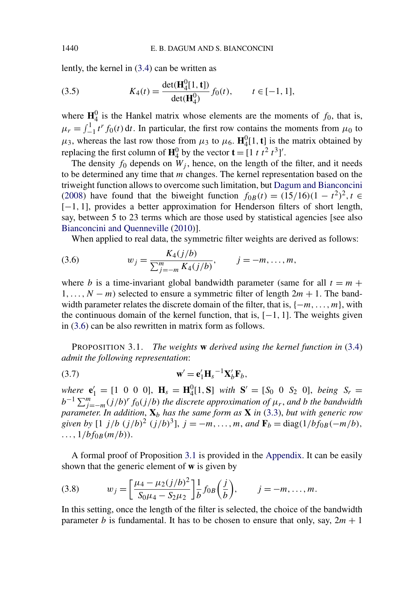lently, the kernel in [\(3.4\)](#page-6-0) can be written as

(3.5) 
$$
K_4(t) = \frac{\det(\mathbf{H}_4^0[1, \mathbf{t}])}{\det(\mathbf{H}_4^0)} f_0(t), \qquad t \in [-1, 1],
$$

where  $\mathbf{H}_4^0$  is the Hankel matrix whose elements are the moments of  $f_0$ , that is,  $\mu_r = \int_{-1}^{1} t^r f_0(t) dt$ . In particular, the first row contains the moments from  $\mu_0$  to *μ*<sub>3</sub>, whereas the last row those from *μ*<sub>3</sub> to *μ*<sub>6</sub>. **H**<sub>4</sub><sup>0</sup>[1, **t**] is the matrix obtained by replacing the first column of  $\mathbf{H}_4^0$  by the vector  $\mathbf{t} = [1 \ t \ t^2 \ t^3]'$ .

The density  $f_0$  depends on  $W_j$ , hence, on the length of the filter, and it needs to be determined any time that *m* changes. The kernel representation based on the triweight function allows to overcome such limitation, but [Dagum and Bianconcini](#page-24-0) [\(2008\)](#page-24-0) have found that the biweight function  $f_{0B}(t) = (15/16)(1 - t^2)^2$ ,  $t \in$ [−1, 1], provides a better approximation for Henderson filters of short length, say, between 5 to 23 terms which are those used by statistical agencies [see also [Bianconcini and Quenneville](#page-23-0) [\(2010\)](#page-23-0)].

When applied to real data, the symmetric filter weights are derived as follows:

(3.6) 
$$
w_j = \frac{K_4(j/b)}{\sum_{j=-m}^{m} K_4(j/b)}, \qquad j = -m, \ldots, m,
$$

where *b* is a time-invariant global bandwidth parameter (same for all  $t = m +$ 1*,...,N* − *m*) selected to ensure a symmetric filter of length 2*m* + 1. The bandwidth parameter relates the discrete domain of the filter, that is, {−*m,...,m*}, with the continuous domain of the kernel function, that is, [−1*,* 1]. The weights given in (3.6) can be also rewritten in matrix form as follows.

PROPOSITION 3.1. *The weights* **w** *derived using the kernel function in* [\(3.4\)](#page-6-0) *admit the following representation*:

(3.7) 
$$
\mathbf{w}' = \mathbf{e}'_1 \mathbf{H}_s^{-1} \mathbf{X}'_b \mathbf{F}_b,
$$

*where*  $\mathbf{e}'_1 = [1 \ 0 \ 0 \ 0], \ \mathbf{H}_s = \mathbf{H}_4^0[1, \mathbf{S}]$  *with*  $\mathbf{S}' = [S_0 \ 0 \ S_2 \ 0], \ being \ S_r =$  $b^{-1} \sum_{j=-m}^{m} (j/b)^r f_0(j/b)$  the discrete approximation of  $\mu_r$ , and *b* the bandwidth *parameter*. *In addition*, **X***<sup>b</sup> has the same form as* **X** *in* [\(3.3\)](#page-6-0), *but with generic row given by* [1 *j/b*  $(j/b)^2$   $(j/b)^3$ ],  $j = -m, ..., m$ , *and*  $\mathbf{F}_b = \text{diag}(1/b \tilde{f}_{0B}(-m/b))$ ,  $\ldots$ ,  $1/b f_{0B}(m/b)$ .

A formal proof of Proposition 3.1 is provided in the [Appendix.](#page-22-0) It can be easily shown that the generic element of **w** is given by

(3.8) 
$$
w_j = \left[\frac{\mu_4 - \mu_2(j/b)^2}{S_0 \mu_4 - S_2 \mu_2}\right] \frac{1}{b} f_{0B}\left(\frac{j}{b}\right), \qquad j = -m, \dots, m.
$$

In this setting, once the length of the filter is selected, the choice of the bandwidth parameter *b* is fundamental. It has to be chosen to ensure that only, say,  $2m + 1$ 

<span id="page-7-0"></span>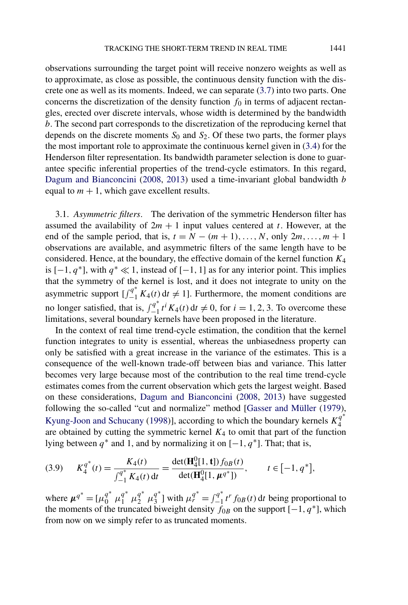observations surrounding the target point will receive nonzero weights as well as to approximate, as close as possible, the continuous density function with the discrete one as well as its moments. Indeed, we can separate [\(3.7\)](#page-7-0) into two parts. One concerns the discretization of the density function  $f_0$  in terms of adjacent rectangles, erected over discrete intervals, whose width is determined by the bandwidth *b*. The second part corresponds to the discretization of the reproducing kernel that depends on the discrete moments  $S_0$  and  $S_2$ . Of these two parts, the former plays the most important role to approximate the continuous kernel given in [\(3.4\)](#page-6-0) for the Henderson filter representation. Its bandwidth parameter selection is done to guarantee specific inferential properties of the trend-cycle estimators. In this regard, [Dagum and Bianconcini](#page-24-0) [\(2008,](#page-24-0) [2013\)](#page-24-0) used a time-invariant global bandwidth *b* equal to  $m + 1$ , which gave excellent results.

3.1. *Asymmetric filters*. The derivation of the symmetric Henderson filter has assumed the availability of  $2m + 1$  input values centered at *t*. However, at the end of the sample period, that is,  $t = N - (m + 1), \ldots, N$ , only  $2m, \ldots, m + 1$ observations are available, and asymmetric filters of the same length have to be considered. Hence, at the boundary, the effective domain of the kernel function *K*<sup>4</sup> is  $[-1, q^*]$ , with  $q^* \ll 1$ , instead of  $[-1, 1]$  as for any interior point. This implies that the symmetry of the kernel is lost, and it does not integrate to unity on the asymmetric support  $\left[\int_{-1}^{q^*} K_4(t) dt \neq 1\right]$ . Furthermore, the moment conditions are no longer satisfied, that is,  $\int_{-1}^{q^*} t^i K_4(t) dt \neq 0$ , for  $i = 1, 2, 3$ . To overcome these limitations, several boundary kernels have been proposed in the literature.

In the context of real time trend-cycle estimation, the condition that the kernel function integrates to unity is essential, whereas the unbiasedness property can only be satisfied with a great increase in the variance of the estimates. This is a consequence of the well-known trade-off between bias and variance. This latter becomes very large because most of the contribution to the real time trend-cycle estimates comes from the current observation which gets the largest weight. Based on these considerations, [Dagum and Bianconcini](#page-24-0) [\(2008,](#page-24-0) [2013\)](#page-24-0) have suggested following the so-called "cut and normalize" method [\[Gasser and Müller](#page-24-0) [\(1979\)](#page-24-0), [Kyung-Joon and Schucany](#page-24-0) [\(1998\)](#page-24-0)], according to which the boundary kernels  $K_4^{q*}$ are obtained by cutting the symmetric kernel  $K_4$  to omit that part of the function lying between  $q^*$  and 1, and by normalizing it on  $[-1, q^*]$ . That; that is,

(3.9) 
$$
K_4^{q^*}(t) = \frac{K_4(t)}{\int_{-1}^{q^*} K_4(t) dt} = \frac{\det(\mathbf{H}_4^0[1, t]) f_{0B}(t)}{\det(\mathbf{H}_4^0[1, \boldsymbol{\mu}^{q^*}])}, \qquad t \in [-1, q^*],
$$

where  $\mu^{q^*} = [\mu_0^{q^*} \mu_1^{q^*} \mu_2^{q^*} \mu_3^{q^*}]$  with  $\mu_r^{q^*} = \int_{-1}^{q^*} t^r f_{0B}(t) dt$  being proportional to the moments of the truncated biweight density  $f_{0B}$  on the support  $[-1, q^*]$ , which from now on we simply refer to as truncated moments.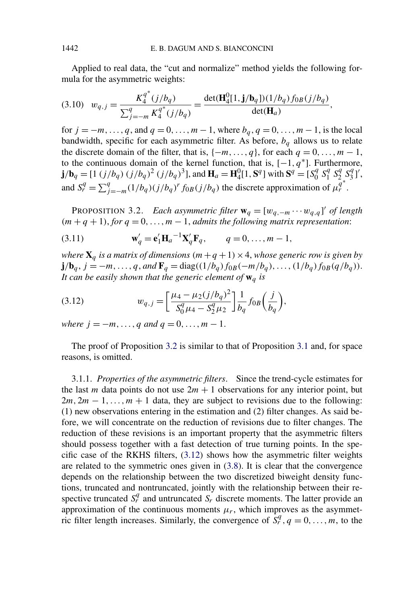<span id="page-9-0"></span>Applied to real data, the "cut and normalize" method yields the following formula for the asymmetric weights:

$$
(3.10) \t w_{q,j} = \frac{K_4^{q^*}(j/b_q)}{\sum_{j=-m}^q K_4^{q^*}(j/b_q)} = \frac{\det(\mathbf{H}_4^0[1, \mathbf{j}/\mathbf{b}_q])(1/b_q) f_{0B}(j/b_q)}{\det(\mathbf{H}_a)},
$$

for  $j = -m, ..., q$ , and  $q = 0, ..., m - 1$ , where  $b_q, q = 0, ..., m - 1$ , is the local bandwidth, specific for each asymmetric filter. As before,  $b<sub>q</sub>$  allows us to relate the discrete domain of the filter, that is,  $\{-m, \ldots, q\}$ , for each  $q = 0, \ldots, m - 1$ , to the continuous domain of the kernel function, that is, [−1*,q*∗]. Furthermore,  $\mathbf{j}/\mathbf{b}_q = [1 \ (j/b_q) \ (j/b_q)^2 \ (j/b_q)^3]$ , and  $\mathbf{H}_a = \mathbf{H}_4^0[1, \mathbf{S}^q]$  with  $\mathbf{S}^q = [S_0^q \ S_1^q \ S_2^q \ S_3^q]'$ , and  $S_r^q = \sum_{j=-m}^q (1/b_q)(j/b_q)^r f_{0B}(j/b_q)$  the discrete approximation of  $\mu_r^q$ <sup>\*</sup>.

PROPOSITION 3.2. *Each asymmetric filter*  $\mathbf{w}_q = [w_{q,-m} \cdots w_{q,q}]'$  *of length*  $(m+q+1)$ , *for*  $q=0,\ldots,m-1$ , *admits the following matrix representation*:

(3.11) 
$$
\mathbf{w}'_q = \mathbf{e}'_1 \mathbf{H}_a^{-1} \mathbf{X}'_q \mathbf{F}_q, \qquad q = 0, \ldots, m-1,
$$

*where*  $\mathbf{X}_q$  *is a matrix of dimensions*  $(m+q+1) \times 4$ , *whose generic row is given by*  $j/b_q$ ,  $j = -m, ..., q$ , and  $\mathbf{F}_q = \text{diag}((1/b_q) f_{0B}(-m/b_q), ..., (1/b_q) f_{0B}(q/b_q)).$ *It can be easily shown that the generic element of*  $w_q$  *is* 

(3.12) 
$$
w_{q,j} = \left[\frac{\mu_4 - \mu_2 (j/b_q)^2}{S_0^q \mu_4 - S_2^q \mu_2}\right] \frac{1}{b_q} f_{0B}\left(\frac{j}{b_q}\right),
$$

*where*  $j = -m, ..., q$  *and*  $q = 0, ..., m - 1$ .

The proof of Proposition 3.2 is similar to that of Proposition [3.1](#page-7-0) and, for space reasons, is omitted.

3.1.1. *Properties of the asymmetric filters*. Since the trend-cycle estimates for the last *m* data points do not use  $2m + 1$  observations for any interior point, but  $2m, 2m - 1, \ldots, m + 1$  data, they are subject to revisions due to the following: (1) new observations entering in the estimation and (2) filter changes. As said before, we will concentrate on the reduction of revisions due to filter changes. The reduction of these revisions is an important property that the asymmetric filters should possess together with a fast detection of true turning points. In the specific case of the RKHS filters, (3.12) shows how the asymmetric filter weights are related to the symmetric ones given in [\(3.8\)](#page-7-0). It is clear that the convergence depends on the relationship between the two discretized biweight density functions, truncated and nontruncated, jointly with the relationship between their respective truncated  $S_r^q$  and untruncated  $S_r$  discrete moments. The latter provide an approximation of the continuous moments  $\mu_r$ , which improves as the asymmetric filter length increases. Similarly, the convergence of  $S_r^q$ ,  $q = 0, \ldots, m$ , to the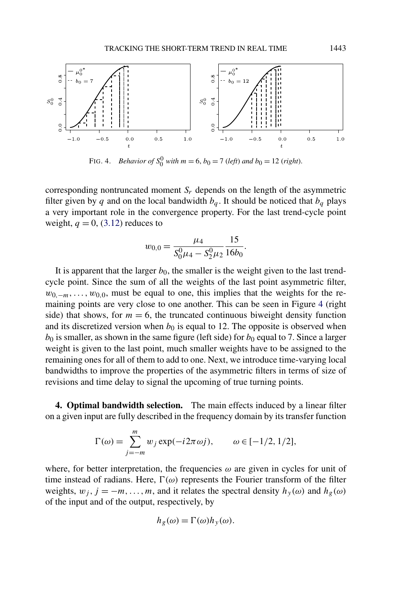<span id="page-10-0"></span>

FIG. 4. *Behavior of*  $S_0^0$  *with*  $m = 6$ ,  $b_0 = 7$  (*left*) *and*  $b_0 = 12$  (*right*).

corresponding nontruncated moment *Sr* depends on the length of the asymmetric filter given by *q* and on the local bandwidth  $b_q$ . It should be noticed that  $b_q$  plays a very important role in the convergence property. For the last trend-cycle point weight,  $q = 0$ , [\(3.12\)](#page-9-0) reduces to

$$
w_{0,0} = \frac{\mu_4}{S_0^0 \mu_4 - S_2^0 \mu_2} \frac{15}{16b_0}
$$

*.*

It is apparent that the larger  $b_0$ , the smaller is the weight given to the last trendcycle point. Since the sum of all the weights of the last point asymmetric filter,  $w_{0,-m}, \ldots, w_{0,0}$ , must be equal to one, this implies that the weights for the remaining points are very close to one another. This can be seen in Figure 4 (right side) that shows, for  $m = 6$ , the truncated continuous biweight density function and its discretized version when  $b_0$  is equal to 12. The opposite is observed when  $b_0$  is smaller, as shown in the same figure (left side) for  $b_0$  equal to 7. Since a larger weight is given to the last point, much smaller weights have to be assigned to the remaining ones for all of them to add to one. Next, we introduce time-varying local bandwidths to improve the properties of the asymmetric filters in terms of size of revisions and time delay to signal the upcoming of true turning points.

**4. Optimal bandwidth selection.** The main effects induced by a linear filter on a given input are fully described in the frequency domain by its transfer function

$$
\Gamma(\omega) = \sum_{j=-m}^{m} w_j \exp(-i2\pi \omega j), \qquad \omega \in [-1/2, 1/2],
$$

where, for better interpretation, the frequencies  $\omega$  are given in cycles for unit of time instead of radians. Here,  $\Gamma(\omega)$  represents the Fourier transform of the filter weights,  $w_j$ ,  $j = -m, ..., m$ , and it relates the spectral density  $h_y(\omega)$  and  $h_g(\omega)$ of the input and of the output, respectively, by

$$
h_g(\omega) = \Gamma(\omega) h_y(\omega).
$$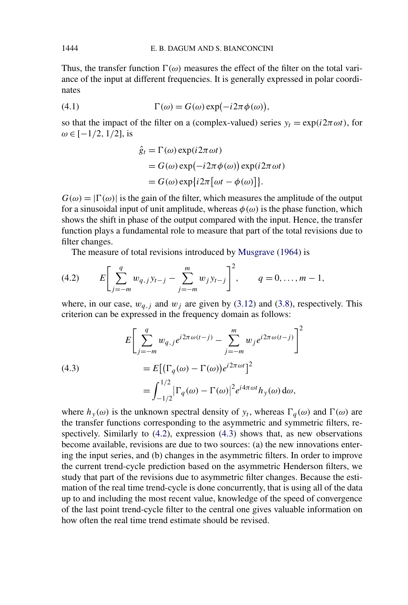Thus, the transfer function  $\Gamma(\omega)$  measures the effect of the filter on the total variance of the input at different frequencies. It is generally expressed in polar coordinates

(4.1) 
$$
\Gamma(\omega) = G(\omega) \exp(-i2\pi \phi(\omega)),
$$

so that the impact of the filter on a (complex-valued) series  $y_t = \exp(i2\pi \omega t)$ , for *ω* ∈ [−1*/*2*,* 1*/*2], is

$$
\hat{g}_t = \Gamma(\omega) \exp(i2\pi \omega t)
$$
  
=  $G(\omega) \exp(-i2\pi \phi(\omega)) \exp(i2\pi \omega t)$   
=  $G(\omega) \exp[i2\pi[\omega t - \phi(\omega)]$ .

 $G(\omega) = |\Gamma(\omega)|$  is the gain of the filter, which measures the amplitude of the output for a sinusoidal input of unit amplitude, whereas  $\phi(\omega)$  is the phase function, which shows the shift in phase of the output compared with the input. Hence, the transfer function plays a fundamental role to measure that part of the total revisions due to filter changes.

The measure of total revisions introduced by [Musgrave](#page-24-0) [\(1964\)](#page-24-0) is

(4.2) 
$$
E\left[\sum_{j=-m}^{q} w_{q,j}y_{t-j} - \sum_{j=-m}^{m} w_{j}y_{t-j}\right]^{2}, \qquad q = 0, \ldots, m-1,
$$

where, in our case,  $w_{q,j}$  and  $w_j$  are given by [\(3.12\)](#page-9-0) and [\(3.8\)](#page-7-0), respectively. This criterion can be expressed in the frequency domain as follows:

(4.3)  
\n
$$
E\left[\sum_{j=-m}^{q} w_{q,j}e^{i2\pi\omega(t-j)} - \sum_{j=-m}^{m} w_{j}e^{i2\pi\omega(t-j)}\right]^{2}
$$
\n
$$
= E\left[\left(\Gamma_{q}(\omega) - \Gamma(\omega)\right)e^{i2\pi\omega t}\right]^{2}
$$
\n
$$
= \int_{-1/2}^{1/2} \left|\Gamma_{q}(\omega) - \Gamma(\omega)\right|^{2} e^{i4\pi\omega t} h_{y}(\omega) d\omega,
$$

where  $h_y(\omega)$  is the unknown spectral density of  $y_t$ , whereas  $\Gamma_q(\omega)$  and  $\Gamma(\omega)$  are the transfer functions corresponding to the asymmetric and symmetric filters, respectively. Similarly to (4.2), expression (4.3) shows that, as new observations become available, revisions are due to two sources: (a) the new innovations entering the input series, and (b) changes in the asymmetric filters. In order to improve the current trend-cycle prediction based on the asymmetric Henderson filters, we study that part of the revisions due to asymmetric filter changes. Because the estimation of the real time trend-cycle is done concurrently, that is using all of the data up to and including the most recent value, knowledge of the speed of convergence of the last point trend-cycle filter to the central one gives valuable information on how often the real time trend estimate should be revised.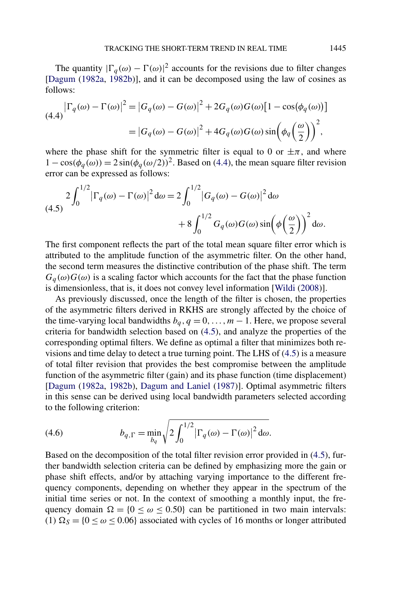<span id="page-12-0"></span>The quantity  $|\Gamma_q(\omega) - \Gamma(\omega)|^2$  accounts for the revisions due to filter changes [\[Dagum](#page-23-0) [\(1982a,](#page-23-0) [1982b\)](#page-24-0)], and it can be decomposed using the law of cosines as follows:

$$
(4.4)\begin{aligned} \left|\Gamma_q(\omega) - \Gamma(\omega)\right|^2 &= \left|G_q(\omega) - G(\omega)\right|^2 + 2G_q(\omega)G(\omega)\left[1 - \cos(\phi_q(\omega))\right] \\ &= \left|G_q(\omega) - G(\omega)\right|^2 + 4G_q(\omega)G(\omega)\sin\left(\phi_q\left(\frac{\omega}{2}\right)\right)^2, \end{aligned}
$$

where the phase shift for the symmetric filter is equal to 0 or  $\pm \pi$ , and where  $1 - \cos(\phi_q(\omega)) = 2\sin(\phi_q(\omega/2))^2$ . Based on (4.4), the mean square filter revision error can be expressed as follows:

$$
(4.5) \quad 2 \int_0^{1/2} \left| \Gamma_q(\omega) - \Gamma(\omega) \right|^2 d\omega = 2 \int_0^{1/2} \left| G_q(\omega) - G(\omega) \right|^2 d\omega
$$

$$
+ 8 \int_0^{1/2} G_q(\omega) G(\omega) \sin \left( \phi \left( \frac{\omega}{2} \right) \right)^2 d\omega.
$$

The first component reflects the part of the total mean square filter error which is attributed to the amplitude function of the asymmetric filter. On the other hand, the second term measures the distinctive contribution of the phase shift. The term  $G_q(\omega)G(\omega)$  is a scaling factor which accounts for the fact that the phase function is dimensionless, that is, it does not convey level information [\[Wildi](#page-25-0) [\(2008\)](#page-25-0)].

As previously discussed, once the length of the filter is chosen, the properties of the asymmetric filters derived in RKHS are strongly affected by the choice of the time-varying local bandwidths  $b_q$ ,  $q = 0, \ldots, m-1$ . Here, we propose several criteria for bandwidth selection based on (4.5), and analyze the properties of the corresponding optimal filters. We define as optimal a filter that minimizes both revisions and time delay to detect a true turning point. The LHS of (4.5) is a measure of total filter revision that provides the best compromise between the amplitude function of the asymmetric filter (gain) and its phase function (time displacement) [\[Dagum](#page-23-0) [\(1982a,](#page-23-0) [1982b\)](#page-24-0), [Dagum and Laniel](#page-24-0) [\(1987\)](#page-24-0)]. Optimal asymmetric filters in this sense can be derived using local bandwidth parameters selected according to the following criterion:

(4.6) 
$$
b_{q,\Gamma} = \min_{b_q} \sqrt{2 \int_0^{1/2} |\Gamma_q(\omega) - \Gamma(\omega)|^2 d\omega}.
$$

Based on the decomposition of the total filter revision error provided in (4.5), further bandwidth selection criteria can be defined by emphasizing more the gain or phase shift effects, and/or by attaching varying importance to the different frequency components, depending on whether they appear in the spectrum of the initial time series or not. In the context of smoothing a monthly input, the frequency domain  $\Omega = \{0 \le \omega \le 0.50\}$  can be partitioned in two main intervals: (1)  $\Omega$ <sub>S</sub> = {0 ≤  $\omega$  ≤ 0.06} associated with cycles of 16 months or longer attributed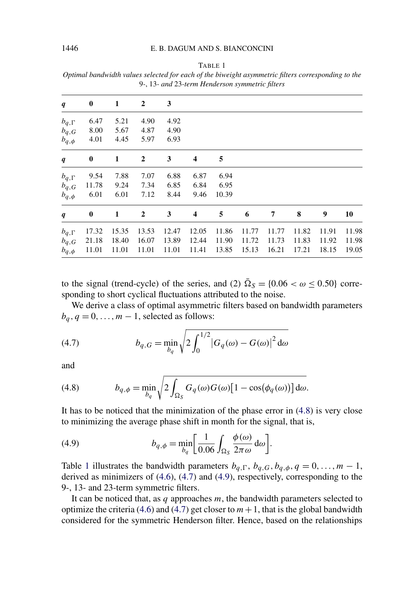| q                | $\boldsymbol{0}$ | 1     | $\overline{2}$ | 3     |                         |       |       |       |       |       |       |
|------------------|------------------|-------|----------------|-------|-------------------------|-------|-------|-------|-------|-------|-------|
| $b_{q,\Gamma}$   | 6.47             | 5.21  | 4.90           | 4.92  |                         |       |       |       |       |       |       |
| $b_{q,G}$        | 8.00             | 5.67  | 4.87           | 4.90  |                         |       |       |       |       |       |       |
| $b_{q,\phi}$     | 4.01             | 4.45  | 5.97           | 6.93  |                         |       |       |       |       |       |       |
| q                | $\bf{0}$         | 1     | $\overline{2}$ | 3     | $\overline{\mathbf{4}}$ | 5     |       |       |       |       |       |
| $b_{q,\Gamma}$   | 9.54             | 7.88  | 7.07           | 6.88  | 6.87                    | 6.94  |       |       |       |       |       |
| $b_{q,G}$        | 11.78            | 9.24  | 7.34           | 6.85  | 6.84                    | 6.95  |       |       |       |       |       |
| $b_{q,\phi}$     | 6.01             | 6.01  | 7.12           | 8.44  | 9.46                    | 10.39 |       |       |       |       |       |
| $\boldsymbol{q}$ | $\bf{0}$         | 1     | $\overline{2}$ | 3     | 4                       | 5     | 6     | 7     | 8     | 9     | 10    |
| $b_{q,\Gamma}$   | 17.32            | 15.35 | 13.53          | 12.47 | 12.05                   | 11.86 | 11.77 | 11.77 | 11.82 | 11.91 | 11.98 |
| $b_{q,G}$        | 21.18            | 18.40 | 16.07          | 13.89 | 12.44                   | 11.90 | 11.72 | 11.73 | 11.83 | 11.92 | 11.98 |
| $b_{q,\phi}$     | 11.01            | 11.01 | 11.01          | 11.01 | 11.41                   | 13.85 | 15.13 | 16.21 | 17.21 | 18.15 | 19.05 |

<span id="page-13-0"></span>TABLE 1 *Optimal bandwidth values selected for each of the biweight asymmetric filters corresponding to the* 9*-*, 13*- and* 23*-term Henderson symmetric filters*

to the signal (trend-cycle) of the series, and (2)  $\overline{\Omega}_s = \{0.06 < \omega < 0.50\}$  corresponding to short cyclical fluctuations attributed to the noise.

We derive a class of optimal asymmetric filters based on bandwidth parameters  $b_q, q = 0, \ldots, m - 1$ , selected as follows:

(4.7) 
$$
b_{q,G} = \min_{b_q} \sqrt{2 \int_0^{1/2} |G_q(\omega) - G(\omega)|^2 d\omega}
$$

and

(4.8) 
$$
b_{q,\phi} = \min_{b_q} \sqrt{2 \int_{\Omega_S} G_q(\omega) G(\omega) \left[1 - \cos(\phi_q(\omega))\right] d\omega}.
$$

It has to be noticed that the minimization of the phase error in (4.8) is very close to minimizing the average phase shift in month for the signal, that is,

(4.9) 
$$
b_{q,\phi} = \min_{b_q} \left[ \frac{1}{0.06} \int_{\Omega_S} \frac{\phi(\omega)}{2\pi \omega} d\omega \right].
$$

Table 1 illustrates the bandwidth parameters  $b_{q,\Gamma}$ ,  $b_{q,G}$ ,  $b_{q,\phi}$ ,  $q = 0, \ldots, m - 1$ , derived as minimizers of [\(4.6\)](#page-12-0), (4.7) and (4.9), respectively, corresponding to the 9-, 13- and 23-term symmetric filters.

It can be noticed that, as *q* approaches *m*, the bandwidth parameters selected to optimize the criteria [\(4.6\)](#page-12-0) and (4.7) get closer to  $m + 1$ , that is the global bandwidth considered for the symmetric Henderson filter. Hence, based on the relationships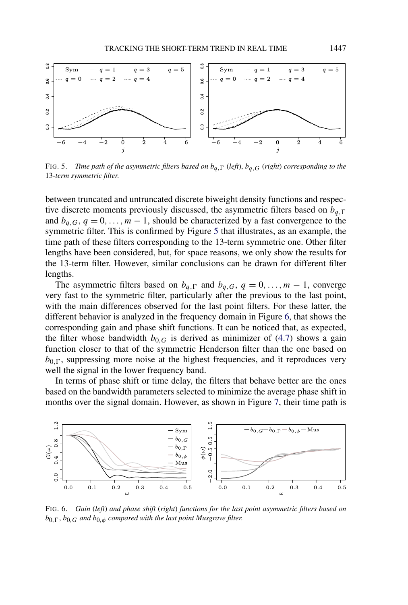<span id="page-14-0"></span>

FIG. 5. *Time path of the asymmetric filters based on*  $b_{q, \Gamma}$  (*left*),  $b_{q, G}$  (*right*) *corresponding to the* 13*-term symmetric filter*.

between truncated and untruncated discrete biweight density functions and respective discrete moments previously discussed, the asymmetric filters based on  $b_{a,\Gamma}$ and  $b_{q,G}, q = 0, \ldots, m-1$ , should be characterized by a fast convergence to the symmetric filter. This is confirmed by Figure 5 that illustrates, as an example, the time path of these filters corresponding to the 13-term symmetric one. Other filter lengths have been considered, but, for space reasons, we only show the results for the 13-term filter. However, similar conclusions can be drawn for different filter lengths.

The asymmetric filters based on  $b_{q,\Gamma}$  and  $b_{q,G}, q = 0, \ldots, m-1$ , converge very fast to the symmetric filter, particularly after the previous to the last point, with the main differences observed for the last point filters. For these latter, the different behavior is analyzed in the frequency domain in Figure 6, that shows the corresponding gain and phase shift functions. It can be noticed that, as expected, the filter whose bandwidth  $b_{0,G}$  is derived as minimizer of [\(4.7\)](#page-13-0) shows a gain function closer to that of the symmetric Henderson filter than the one based on  $b_{0,\Gamma}$ , suppressing more noise at the highest frequencies, and it reproduces very well the signal in the lower frequency band.

In terms of phase shift or time delay, the filters that behave better are the ones based on the bandwidth parameters selected to minimize the average phase shift in months over the signal domain. However, as shown in Figure [7,](#page-15-0) their time path is



FIG. 6. *Gain* (*left*) *and phase shift* (*right*) *functions for the last point asymmetric filters based on b*0*,*, *b*0*,G and b*0*,φ compared with the last point Musgrave filter*.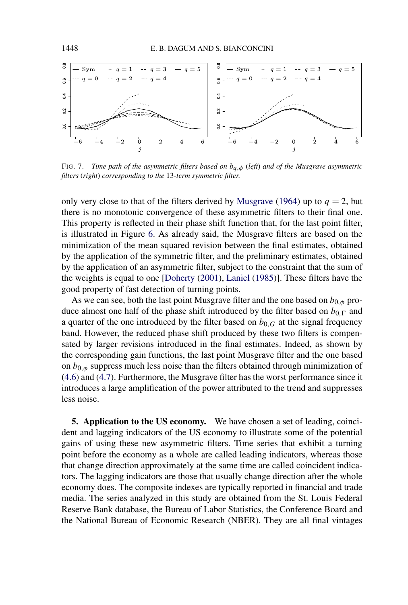<span id="page-15-0"></span>

FIG. 7. *Time path of the asymmetric filters based on bq,φ* (*left*) *and of the Musgrave asymmetric filters* (*right*) *corresponding to the* 13*-term symmetric filter*.

only very close to that of the filters derived by [Musgrave](#page-24-0) [\(1964\)](#page-24-0) up to  $q = 2$ , but there is no monotonic convergence of these asymmetric filters to their final one. This property is reflected in their phase shift function that, for the last point filter, is illustrated in Figure [6.](#page-14-0) As already said, the Musgrave filters are based on the minimization of the mean squared revision between the final estimates, obtained by the application of the symmetric filter, and the preliminary estimates, obtained by the application of an asymmetric filter, subject to the constraint that the sum of the weights is equal to one [\[Doherty](#page-24-0) [\(2001\)](#page-24-0), [Laniel](#page-24-0) [\(1985\)](#page-24-0)]. These filters have the good property of fast detection of turning points.

As we can see, both the last point Musgrave filter and the one based on  $b_{0,\phi}$  produce almost one half of the phase shift introduced by the filter based on  $b_{0,\Gamma}$  and a quarter of the one introduced by the filter based on  $b_{0,G}$  at the signal frequency band. However, the reduced phase shift produced by these two filters is compensated by larger revisions introduced in the final estimates. Indeed, as shown by the corresponding gain functions, the last point Musgrave filter and the one based on *b*0*,φ* suppress much less noise than the filters obtained through minimization of [\(4.6\)](#page-12-0) and [\(4.7\)](#page-13-0). Furthermore, the Musgrave filter has the worst performance since it introduces a large amplification of the power attributed to the trend and suppresses less noise.

**5. Application to the US economy.** We have chosen a set of leading, coincident and lagging indicators of the US economy to illustrate some of the potential gains of using these new asymmetric filters. Time series that exhibit a turning point before the economy as a whole are called leading indicators, whereas those that change direction approximately at the same time are called coincident indicators. The lagging indicators are those that usually change direction after the whole economy does. The composite indexes are typically reported in financial and trade media. The series analyzed in this study are obtained from the St. Louis Federal Reserve Bank database, the Bureau of Labor Statistics, the Conference Board and the National Bureau of Economic Research (NBER). They are all final vintages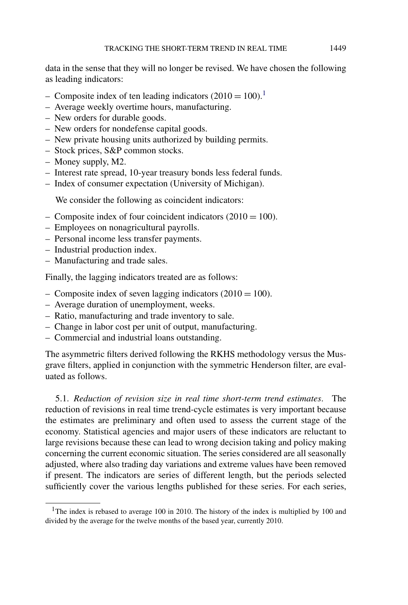data in the sense that they will no longer be revised. We have chosen the following as leading indicators:

- Composite index of ten leading indicators  $(2010 = 100).$ <sup>1</sup>
- Average weekly overtime hours, manufacturing.
- New orders for durable goods.
- New orders for nondefense capital goods.
- New private housing units authorized by building permits.
- Stock prices, S&P common stocks.
- Money supply, M2.
- Interest rate spread, 10-year treasury bonds less federal funds.
- Index of consumer expectation (University of Michigan).

We consider the following as coincident indicators:

- Composite index of four coincident indicators  $(2010 = 100)$ .
- Employees on nonagricultural payrolls.
- Personal income less transfer payments.
- Industrial production index.
- Manufacturing and trade sales.

Finally, the lagging indicators treated are as follows:

- Composite index of seven lagging indicators  $(2010 = 100)$ .
- Average duration of unemployment, weeks.
- Ratio, manufacturing and trade inventory to sale.
- Change in labor cost per unit of output, manufacturing.
- Commercial and industrial loans outstanding.

The asymmetric filters derived following the RKHS methodology versus the Musgrave filters, applied in conjunction with the symmetric Henderson filter, are evaluated as follows.

5.1. *Reduction of revision size in real time short-term trend estimates*. The reduction of revisions in real time trend-cycle estimates is very important because the estimates are preliminary and often used to assess the current stage of the economy. Statistical agencies and major users of these indicators are reluctant to large revisions because these can lead to wrong decision taking and policy making concerning the current economic situation. The series considered are all seasonally adjusted, where also trading day variations and extreme values have been removed if present. The indicators are series of different length, but the periods selected sufficiently cover the various lengths published for these series. For each series,

<sup>&</sup>lt;sup>1</sup>The index is rebased to average 100 in 2010. The history of the index is multiplied by 100 and divided by the average for the twelve months of the based year, currently 2010.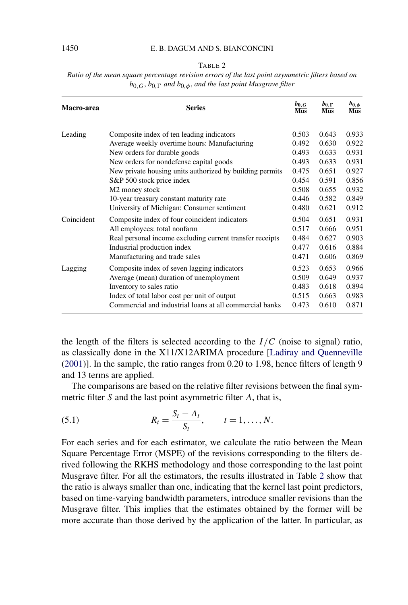## 1450 E. B. DAGUM AND S. BIANCONCINI

TABLE 2

*Ratio of the mean square percentage revision errors of the last point asymmetric filters based on b*0*,G*, *b*0*, and b*0*,φ*, *and the last point Musgrave filter*

| <b>Macro-area</b> | <b>Series</b>                                            | $b_{0,G}$<br>Mus | $b_{0,\Gamma}$<br>Mus | $b_{0,\phi}$<br>Mus |
|-------------------|----------------------------------------------------------|------------------|-----------------------|---------------------|
|                   |                                                          |                  |                       |                     |
| Leading           | Composite index of ten leading indicators                | 0.503            | 0.643                 | 0.933               |
|                   | Average weekly overtime hours: Manufacturing             | 0.492            | 0.630                 | 0.922               |
|                   | New orders for durable goods                             | 0.493            | 0.633                 | 0.931               |
|                   | New orders for nondefense capital goods                  | 0.493            | 0.633                 | 0.931               |
|                   | New private housing units authorized by building permits | 0.475            | 0.651                 | 0.927               |
|                   | S&P 500 stock price index                                | 0.454            | 0.591                 | 0.856               |
|                   | M <sub>2</sub> money stock                               | 0.508            | 0.655                 | 0.932               |
|                   | 10-year treasury constant maturity rate                  | 0.446            | 0.582                 | 0.849               |
|                   | University of Michigan: Consumer sentiment               | 0.480            | 0.621                 | 0.912               |
| Coincident        | Composite index of four coincident indicators            | 0.504            | 0.651                 | 0.931               |
|                   | All employees: total nonfarm                             | 0.517            | 0.666                 | 0.951               |
|                   | Real personal income excluding current transfer receipts | 0.484            | 0.627                 | 0.903               |
|                   | Industrial production index                              | 0.477            | 0.616                 | 0.884               |
|                   | Manufacturing and trade sales                            | 0.471            | 0.606                 | 0.869               |
| Lagging           | Composite index of seven lagging indicators              | 0.523            | 0.653                 | 0.966               |
|                   | Average (mean) duration of unemployment                  | 0.509            | 0.649                 | 0.937               |
|                   | Inventory to sales ratio                                 | 0.483            | 0.618                 | 0.894               |
|                   | Index of total labor cost per unit of output             | 0.515            | 0.663                 | 0.983               |
|                   | Commercial and industrial loans at all commercial banks  | 0.473            | 0.610                 | 0.871               |

the length of the filters is selected according to the *I/C* (noise to signal) ratio, as classically done in the X11/X12ARIMA procedure [\[Ladiray and Quenneville](#page-24-0) [\(2001\)](#page-24-0)]. In the sample, the ratio ranges from 0.20 to 1.98, hence filters of length 9 and 13 terms are applied.

The comparisons are based on the relative filter revisions between the final symmetric filter *S* and the last point asymmetric filter *A*, that is,

(5.1) 
$$
R_t = \frac{S_t - A_t}{S_t}, \qquad t = 1, ..., N.
$$

For each series and for each estimator, we calculate the ratio between the Mean Square Percentage Error (MSPE) of the revisions corresponding to the filters derived following the RKHS methodology and those corresponding to the last point Musgrave filter. For all the estimators, the results illustrated in Table 2 show that the ratio is always smaller than one, indicating that the kernel last point predictors, based on time-varying bandwidth parameters, introduce smaller revisions than the Musgrave filter. This implies that the estimates obtained by the former will be more accurate than those derived by the application of the latter. In particular, as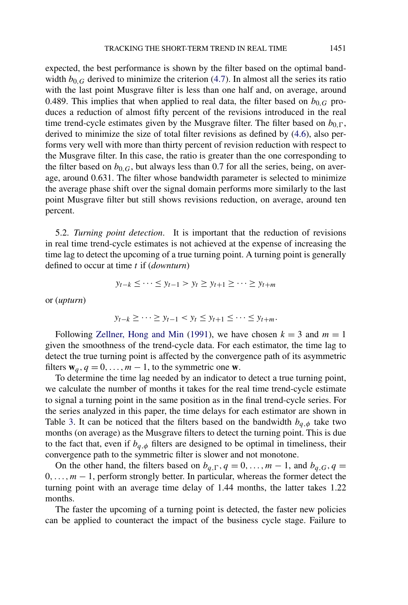expected, the best performance is shown by the filter based on the optimal bandwidth  $b_{0,G}$  derived to minimize the criterion [\(4.7\)](#page-13-0). In almost all the series its ratio with the last point Musgrave filter is less than one half and, on average, around 0.489. This implies that when applied to real data, the filter based on  $b_{0,G}$  produces a reduction of almost fifty percent of the revisions introduced in the real time trend-cycle estimates given by the Musgrave filter. The filter based on  $b_{0,\Gamma}$ , derived to minimize the size of total filter revisions as defined by [\(4.6\)](#page-12-0), also performs very well with more than thirty percent of revision reduction with respect to the Musgrave filter. In this case, the ratio is greater than the one corresponding to the filter based on  $b_{0,G}$ , but always less than 0.7 for all the series, being, on average, around 0.631. The filter whose bandwidth parameter is selected to minimize the average phase shift over the signal domain performs more similarly to the last point Musgrave filter but still shows revisions reduction, on average, around ten percent.

5.2. *Turning point detection*. It is important that the reduction of revisions in real time trend-cycle estimates is not achieved at the expense of increasing the time lag to detect the upcoming of a true turning point. A turning point is generally defined to occur at time *t* if (*downturn*)

$$
y_{t-k} \leq \cdots \leq y_{t-1} > y_t \geq y_{t+1} \geq \cdots \geq y_{t+m}
$$

or (*upturn*)

$$
y_{t-k} \geq \cdots \geq y_{t-1} < y_t \leq y_{t+1} \leq \cdots \leq y_{t+m}.
$$

Following [Zellner, Hong and Min](#page-25-0) [\(1991\)](#page-25-0), we have chosen  $k = 3$  and  $m = 1$ given the smoothness of the trend-cycle data. For each estimator, the time lag to detect the true turning point is affected by the convergence path of its asymmetric filters  $w_q$ ,  $q = 0, \ldots, m - 1$ , to the symmetric one **w**.

To determine the time lag needed by an indicator to detect a true turning point, we calculate the number of months it takes for the real time trend-cycle estimate to signal a turning point in the same position as in the final trend-cycle series. For the series analyzed in this paper, the time delays for each estimator are shown in Table [3.](#page-19-0) It can be noticed that the filters based on the bandwidth  $b_{a,\phi}$  take two months (on average) as the Musgrave filters to detect the turning point. This is due to the fact that, even if  $b_{q,\phi}$  filters are designed to be optimal in timeliness, their convergence path to the symmetric filter is slower and not monotone.

On the other hand, the filters based on  $b_{q,\Gamma}, q = 0, \ldots, m-1$ , and  $b_{q,G}, q =$ 0*,...,m* − 1, perform strongly better. In particular, whereas the former detect the turning point with an average time delay of 1.44 months, the latter takes 1.22 months.

The faster the upcoming of a turning point is detected, the faster new policies can be applied to counteract the impact of the business cycle stage. Failure to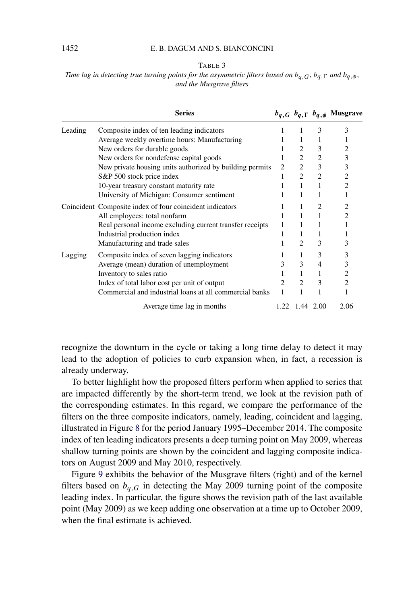## <span id="page-19-0"></span>1452 E. B. DAGUM AND S. BIANCONCINI

#### TABLE 3

*Time lag in detecting true turning points for the asymmetric filters based on*  $b_{a,G}$ ,  $b_{a,\Gamma}$  and  $b_{a,\phi}$ , *and the Musgrave filters*

|         | <b>Series</b>                                            |                |                             |                | $b_{q,G}$ $b_{q,\Gamma}$ $b_{q,\phi}$ Musgrave |
|---------|----------------------------------------------------------|----------------|-----------------------------|----------------|------------------------------------------------|
| Leading | Composite index of ten leading indicators                |                |                             | 3              | 3                                              |
|         | Average weekly overtime hours: Manufacturing             |                |                             | 1              |                                                |
|         | New orders for durable goods                             |                | $\mathcal{D}_{\mathcal{L}}$ | 3              | 2                                              |
|         | New orders for nondefense capital goods                  |                | $\mathfrak{D}$              | $\overline{c}$ | 3                                              |
|         | New private housing units authorized by building permits | 2              | 2                           | 3              | 3                                              |
|         | S&P 500 stock price index                                |                | $\mathcal{D}_{\mathcal{L}}$ | 2              | 2                                              |
|         | 10-year treasury constant maturity rate                  |                | 1                           | 1              | 2                                              |
|         | University of Michigan: Consumer sentiment               |                | 1                           | 1              |                                                |
|         | Coincident Composite index of four coincident indicators |                | 1                           | $\overline{c}$ | 2                                              |
|         | All employees: total nonfarm                             |                |                             | 1              | 2                                              |
|         | Real personal income excluding current transfer receipts | 1              |                             | 1              |                                                |
|         | Industrial production index                              |                |                             |                |                                                |
|         | Manufacturing and trade sales                            |                | $\mathcal{D}_{\mathcal{L}}$ | 3              | 3                                              |
| Lagging | Composite index of seven lagging indicators              |                | 1                           | 3              | 3                                              |
|         | Average (mean) duration of unemployment                  | 3              | 3                           | 4              | 3                                              |
|         | Inventory to sales ratio                                 |                |                             |                | 2                                              |
|         | Index of total labor cost per unit of output             | $\mathfrak{D}$ | $\mathfrak{D}$              | 3              | 2                                              |
|         | Commercial and industrial loans at all commercial banks  |                |                             |                |                                                |
|         | Average time lag in months                               | 1.22           |                             | 1.44 2.00      | 2.06                                           |

recognize the downturn in the cycle or taking a long time delay to detect it may lead to the adoption of policies to curb expansion when, in fact, a recession is already underway.

To better highlight how the proposed filters perform when applied to series that are impacted differently by the short-term trend, we look at the revision path of the corresponding estimates. In this regard, we compare the performance of the filters on the three composite indicators, namely, leading, coincident and lagging, illustrated in Figure [8](#page-20-0) for the period January 1995–December 2014. The composite index of ten leading indicators presents a deep turning point on May 2009, whereas shallow turning points are shown by the coincident and lagging composite indicators on August 2009 and May 2010, respectively.

Figure [9](#page-20-0) exhibits the behavior of the Musgrave filters (right) and of the kernel filters based on  $b_{q,G}$  in detecting the May 2009 turning point of the composite leading index. In particular, the figure shows the revision path of the last available point (May 2009) as we keep adding one observation at a time up to October 2009, when the final estimate is achieved.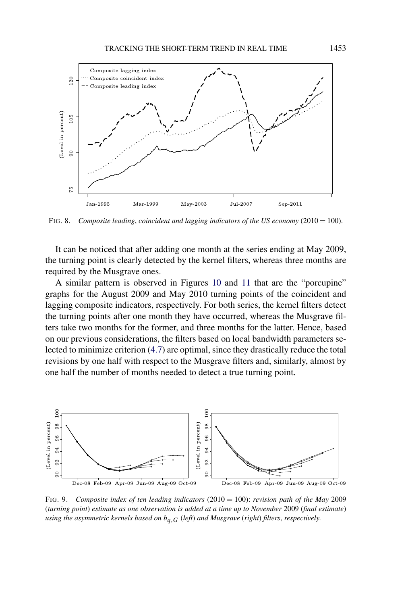<span id="page-20-0"></span>

FIG. 8. *Composite leading*, *coincident and lagging indicators of the US economy* (2010 = 100).

It can be noticed that after adding one month at the series ending at May 2009, the turning point is clearly detected by the kernel filters, whereas three months are required by the Musgrave ones.

A similar pattern is observed in Figures [10](#page-21-0) and [11](#page-21-0) that are the "porcupine" graphs for the August 2009 and May 2010 turning points of the coincident and lagging composite indicators, respectively. For both series, the kernel filters detect the turning points after one month they have occurred, whereas the Musgrave filters take two months for the former, and three months for the latter. Hence, based on our previous considerations, the filters based on local bandwidth parameters selected to minimize criterion [\(4.7\)](#page-13-0) are optimal, since they drastically reduce the total revisions by one half with respect to the Musgrave filters and, similarly, almost by one half the number of months needed to detect a true turning point.



FIG. 9. *Composite index of ten leading indicators* (2010 = 100): *revision path of the May* 2009 (*turning point*) *estimate as one observation is added at a time up to November* 2009 (*final estimate*) *using the asymmetric kernels based on bq,G* (*left*) *and Musgrave* (*right*) *filters*, *respectively*.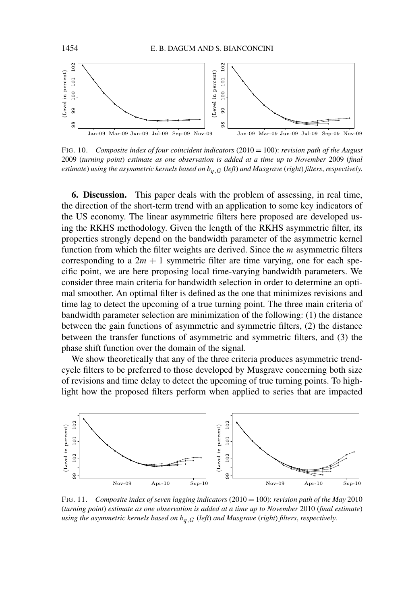<span id="page-21-0"></span>

FIG. 10. *Composite index of four coincident indicators* (2010 = 100): *revision path of the August* 2009 (*turning point*) *estimate as one observation is added at a time up to November* 2009 (*final estimate*) *using the asymmetric kernels based on bq,G* (*left*) *and Musgrave* (*right*) *filters*, *respectively*.

**6. Discussion.** This paper deals with the problem of assessing, in real time, the direction of the short-term trend with an application to some key indicators of the US economy. The linear asymmetric filters here proposed are developed using the RKHS methodology. Given the length of the RKHS asymmetric filter, its properties strongly depend on the bandwidth parameter of the asymmetric kernel function from which the filter weights are derived. Since the *m* asymmetric filters corresponding to a  $2m + 1$  symmetric filter are time varying, one for each specific point, we are here proposing local time-varying bandwidth parameters. We consider three main criteria for bandwidth selection in order to determine an optimal smoother. An optimal filter is defined as the one that minimizes revisions and time lag to detect the upcoming of a true turning point. The three main criteria of bandwidth parameter selection are minimization of the following: (1) the distance between the gain functions of asymmetric and symmetric filters, (2) the distance between the transfer functions of asymmetric and symmetric filters, and (3) the phase shift function over the domain of the signal.

We show theoretically that any of the three criteria produces asymmetric trendcycle filters to be preferred to those developed by Musgrave concerning both size of revisions and time delay to detect the upcoming of true turning points. To highlight how the proposed filters perform when applied to series that are impacted



FIG. 11. *Composite index of seven lagging indicators* (2010 = 100): *revision path of the May* 2010 (*turning point*) *estimate as one observation is added at a time up to November* 2010 (*final estimate*) *using the asymmetric kernels based on bq,G* (*left*) *and Musgrave* (*right*) *filters*, *respectively*.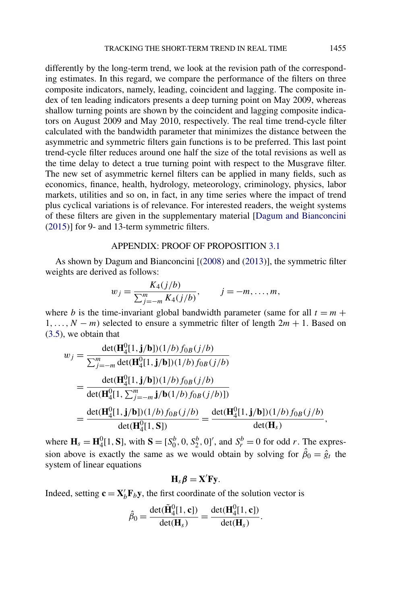<span id="page-22-0"></span>differently by the long-term trend, we look at the revision path of the corresponding estimates. In this regard, we compare the performance of the filters on three composite indicators, namely, leading, coincident and lagging. The composite index of ten leading indicators presents a deep turning point on May 2009, whereas shallow turning points are shown by the coincident and lagging composite indicators on August 2009 and May 2010, respectively. The real time trend-cycle filter calculated with the bandwidth parameter that minimizes the distance between the asymmetric and symmetric filters gain functions is to be preferred. This last point trend-cycle filter reduces around one half the size of the total revisions as well as the time delay to detect a true turning point with respect to the Musgrave filter. The new set of asymmetric kernel filters can be applied in many fields, such as economics, finance, health, hydrology, meteorology, criminology, physics, labor markets, utilities and so on, in fact, in any time series where the impact of trend plus cyclical variations is of relevance. For interested readers, the weight systems of these filters are given in the supplementary material [\[Dagum and Bianconcini](#page-24-0) [\(2015\)](#page-24-0)] for 9- and 13-term symmetric filters.

# APPENDIX: PROOF OF PROPOSITION [3.1](#page-7-0)

As shown by Dagum and Bianconcini [[\(2008\)](#page-24-0) and [\(2013\)](#page-24-0)], the symmetric filter weights are derived as follows:

$$
w_j = \frac{K_4(j/b)}{\sum_{j=-m}^{m} K_4(j/b)}, \qquad j = -m, \dots, m,
$$

where *b* is the time-invariant global bandwidth parameter (same for all  $t = m +$ 1*,...,N* − *m*) selected to ensure a symmetric filter of length 2*m* + 1. Based on [\(3.5\)](#page-7-0), we obtain that

$$
w_j = \frac{\det(\mathbf{H}_4^0[1, \mathbf{j}/\mathbf{b}]) (1/b) f_{0B}(j/b)}{\sum_{j=-m}^m \det(\mathbf{H}_4^0[1, \mathbf{j}/\mathbf{b}]) (1/b) f_{0B}(j/b)}
$$
  
= 
$$
\frac{\det(\mathbf{H}_4^0[1, \mathbf{j}/\mathbf{b}]) (1/b) f_{0B}(j/b)}{\det(\mathbf{H}_4^0[1, \sum_{j=-m}^m \mathbf{j}/\mathbf{b} (1/b) f_{0B}(j/b))}
$$
  
= 
$$
\frac{\det(\mathbf{H}_4^0[1, \mathbf{j}/\mathbf{b}]) (1/b) f_{0B}(j/b)}{\det(\mathbf{H}_4^0[1, \mathbf{S}])} = \frac{\det(\mathbf{H}_4^0[1, \mathbf{j}/\mathbf{b}]) (1/b) f_{0B}(j/b)}{\det(\mathbf{H}_s)},
$$

where  $\mathbf{H}_s = \mathbf{H}_4^0[1, \mathbf{S}]$ , with  $\mathbf{S} = [S_0^b, 0, S_2^b, 0]'$ , and  $S_r^b = 0$  for odd *r*. The expression above is exactly the same as we would obtain by solving for  $\hat{\beta}_0 = \hat{g}_t$  the system of linear equations

$$
\mathbf{H}_s\boldsymbol{\beta}=\mathbf{X}'\mathbf{F}\mathbf{y}.
$$

Indeed, setting  $\mathbf{c} = \mathbf{X}'_b \mathbf{F}_b \mathbf{y}$ , the first coordinate of the solution vector is

$$
\hat{\beta}_0 = \frac{\det(\widetilde{\mathbf{H}}_4^0[1, \mathbf{c}])}{\det(\mathbf{H}_s)} = \frac{\det(\mathbf{H}_4^0[1, \mathbf{c}])}{\det(\mathbf{H}_s)}.
$$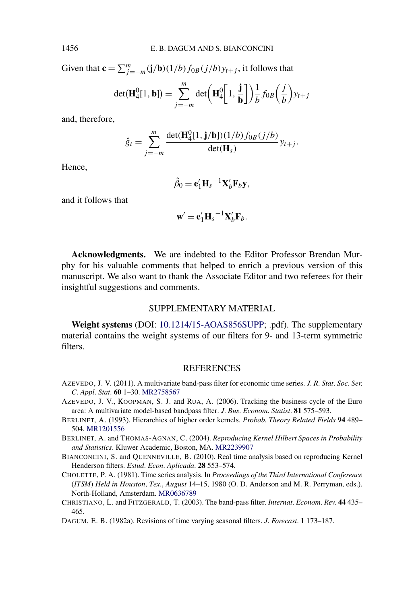Given that  $\mathbf{c} = \sum_{j=-m}^{m} (\mathbf{j}/\mathbf{b})(1/b) f_{0B}(j/b) y_{t+j}$ , it follows that *m*

$$
\det(\mathbf{H}_4^0[1, \mathbf{b}]) = \sum_{j=-m}^m \det \left(\mathbf{H}_4^0\left[1, \frac{\mathbf{j}}{\mathbf{b}}\right]\right) \frac{1}{b} f_{0B}\left(\frac{j}{b}\right) y_{t+j}
$$

and, therefore,

$$
\hat{g}_t = \sum_{j=-m}^m \frac{\det(\mathbf{H}_4^0[1, \mathbf{j}/\mathbf{b}]) (1/b) f_{0B}(j/b)}{\det(\mathbf{H}_s)} y_{t+j}.
$$

Hence,

$$
\hat{\beta}_0 = \mathbf{e}'_1 \mathbf{H}_s^{-1} \mathbf{X}'_b \mathbf{F}_b \mathbf{y},
$$

and it follows that

$$
\mathbf{w}' = \mathbf{e}'_1 \mathbf{H}_s^{-1} \mathbf{X}'_b \mathbf{F}_b.
$$

**Acknowledgments.** We are indebted to the Editor Professor Brendan Murphy for his valuable comments that helped to enrich a previous version of this manuscript. We also want to thank the Associate Editor and two referees for their insightful suggestions and comments.

# SUPPLEMENTARY MATERIAL

**Weight systems** (DOI: [10.1214/15-AOAS856SUPP;](http://dx.doi.org/10.1214/15-AOAS856SUPP) .pdf). The supplementary material contains the weight systems of our filters for 9- and 13-term symmetric filters.

### REFERENCES

- AZEVEDO, J. V. (2011). A multivariate band-pass filter for economic time series. *J*. *R*. *Stat*. *Soc*. *Ser*. *C*. *Appl*. *Stat*. **60** 1–30. [MR2758567](http://www.ams.org/mathscinet-getitem?mr=2758567)
- AZEVEDO, J. V., KOOPMAN, S. J. and RUA, A. (2006). Tracking the business cycle of the Euro area: A multivariate model-based bandpass filter. *J*. *Bus*. *Econom*. *Statist*. **81** 575–593.
- BERLINET, A. (1993). Hierarchies of higher order kernels. *Probab*. *Theory Related Fields* **94** 489– 504. [MR1201556](http://www.ams.org/mathscinet-getitem?mr=1201556)
- BERLINET, A. and THOMAS-AGNAN, C. (2004). *Reproducing Kernel Hilbert Spaces in Probability and Statistics*. Kluwer Academic, Boston, MA. [MR2239907](http://www.ams.org/mathscinet-getitem?mr=2239907)
- BIANCONCINI, S. and QUENNEVILLE, B. (2010). Real time analysis based on reproducing Kernel Henderson filters. *Estud*. *Econ*. *Aplicada*. **28** 553–574.
- CHOLETTE, P. A. (1981). Time series analysis. In *Proceedings of the Third International Conference* (*ITSM*) *Held in Houston*, *Tex*., *August* 14*–*15, 1980 (O. D. Anderson and M. R. Perryman, eds.). North-Holland, Amsterdam. [MR0636789](http://www.ams.org/mathscinet-getitem?mr=0636789)
- CHRISTIANO, L. and FITZGERALD, T. (2003). The band-pass filter. *Internat*. *Econom*. *Rev*. **44** 435– 465.

DAGUM, E. B. (1982a). Revisions of time varying seasonal filters. *J*. *Forecast*. **1** 173–187.

<span id="page-23-0"></span>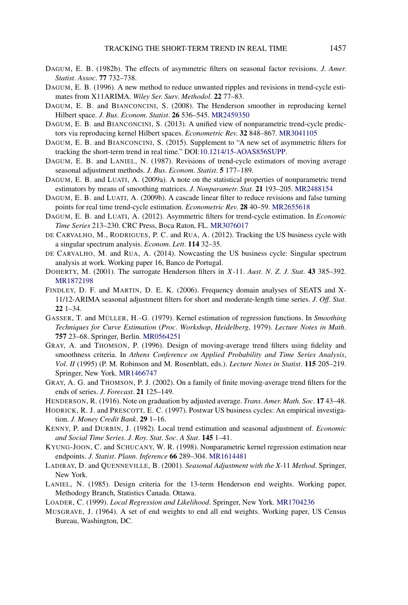- <span id="page-24-0"></span>DAGUM, E. B. (1982b). The effects of asymmetric filters on seasonal factor revisions. *J*. *Amer*. *Statist*. *Assoc*. **77** 732–738.
- DAGUM, E. B. (1996). A new method to reduce unwanted ripples and revisions in trend-cycle estimates from X11ARIMA. *Wiley Ser*. *Surv*. *Methodol*. **22** 77–83.
- DAGUM, E. B. and BIANCONCINI, S. (2008). The Henderson smoother in reproducing kernel Hilbert space. *J*. *Bus*. *Econom*. *Statist*. **26** 536–545. [MR2459350](http://www.ams.org/mathscinet-getitem?mr=2459350)
- DAGUM, E. B. and BIANCONCINI, S. (2013). A unified view of nonparametric trend-cycle predictors via reproducing kernel Hilbert spaces. *Econometric Rev*. **32** 848–867. [MR3041105](http://www.ams.org/mathscinet-getitem?mr=3041105)
- DAGUM, E. B. and BIANCONCINI, S. (2015). Supplement to "A new set of asymmetric filters for tracking the short-term trend in real time." DOI[:10.1214/15-AOAS856SUPP](http://dx.doi.org/10.1214/15-AOAS856SUPP).
- DAGUM, E. B. and LANIEL, N. (1987). Revisions of trend-cycle estimators of moving average seasonal adjustment methods. *J*. *Bus*. *Econom*. *Statist*. **5** 177–189.
- DAGUM, E. B. and LUATI, A. (2009a). A note on the statistical properties of nonparametric trend estimators by means of smoothing matrices. *J*. *Nonparametr*. *Stat*. **21** 193–205. [MR2488154](http://www.ams.org/mathscinet-getitem?mr=2488154)
- DAGUM, E. B. and LUATI, A. (2009b). A cascade linear filter to reduce revisions and false turning points for real time trend-cycle estimation. *Econometric Rev*. **28** 40–59. [MR2655618](http://www.ams.org/mathscinet-getitem?mr=2655618)
- DAGUM, E. B. and LUATI, A. (2012). Asymmetric filters for trend-cycle estimation. In *Economic Time Series* 213–230. CRC Press, Boca Raton, FL. [MR3076017](http://www.ams.org/mathscinet-getitem?mr=3076017)
- DE CARVALHO, M., RODRIGUES, P. C. and RUA, A. (2012). Tracking the US business cycle with a singular spectrum analysis. *Econom*. *Lett*. **114** 32–35.
- DE CARVALHO, M. and RUA, A. (2014). Nowcasting the US business cycle: Singular spectrum analysis at work. Working paper 16, Banco de Portugal.
- DOHERTY, M. (2001). The surrogate Henderson filters in *X*-11. *Aust*. *N*. *Z*. *J*. *Stat*. **43** 385–392. [MR1872198](http://www.ams.org/mathscinet-getitem?mr=1872198)
- FINDLEY, D. F. and MARTIN, D. E. K. (2006). Frequency domain analyses of SEATS and X-11/12-ARIMA seasonal adjustment filters for short and moderate-length time series. *J*. *Off*. *Stat*. **22** 1–34.
- GASSER, T. and MÜLLER, H.-G. (1979). Kernel estimation of regression functions. In *Smoothing Techniques for Curve Estimation* (*Proc*. *Workshop*, *Heidelberg*, 1979). *Lecture Notes in Math*. **757** 23–68. Springer, Berlin. [MR0564251](http://www.ams.org/mathscinet-getitem?mr=0564251)
- GRAY, A. and THOMSON, P. (1996). Design of moving-average trend filters using fidelity and smoothness criteria. In *Athens Conference on Applied Probability and Time Series Analysis*, *Vol*. *II* (1995) (P. M. Robinson and M. Rosenblatt, eds.). *Lecture Notes in Statist*. **115** 205–219. Springer, New York. [MR1466747](http://www.ams.org/mathscinet-getitem?mr=1466747)
- GRAY, A. G. and THOMSON, P. J. (2002). On a family of finite moving-average trend filters for the ends of series. *J*. *Forecast*. **21** 125–149.
- HENDERSON, R. (1916). Note on graduation by adjusted average. *Trans*. *Amer*. *Math*. *Soc*. **17** 43–48.
- HODRICK, R. J. and PRESCOTT, E. C. (1997). Postwar US business cycles: An empirical investigation. *J*. *Money Credit Bank*. **29** 1–16.
- KENNY, P. and DURBIN, J. (1982). Local trend estimation and seasonal adjustment of. *Economic and Social Time Series*. *J*. *Roy*. *Stat*. *Soc*. *A Stat*. **145** 1–41.
- KYUNG-JOON, C. and SCHUCANY, W. R. (1998). Nonparametric kernel regression estimation near endpoints. *J*. *Statist*. *Plann*. *Inference* **66** 289–304. [MR1614481](http://www.ams.org/mathscinet-getitem?mr=1614481)
- LADIRAY, D. and QUENNEVILLE, B. (2001). *Seasonal Adjustment with the X-*11 *Method*. Springer, New York.
- LANIEL, N. (1985). Design criteria for the 13-term Henderson end weights. Working paper, Methodogy Branch, Statistics Canada. Ottawa.
- LOADER, C. (1999). *Local Regression and Likelihood*. Springer, New York. [MR1704236](http://www.ams.org/mathscinet-getitem?mr=1704236)
- MUSGRAVE, J. (1964). A set of end weights to end all end weights. Working paper, US Census Bureau, Washington, DC.